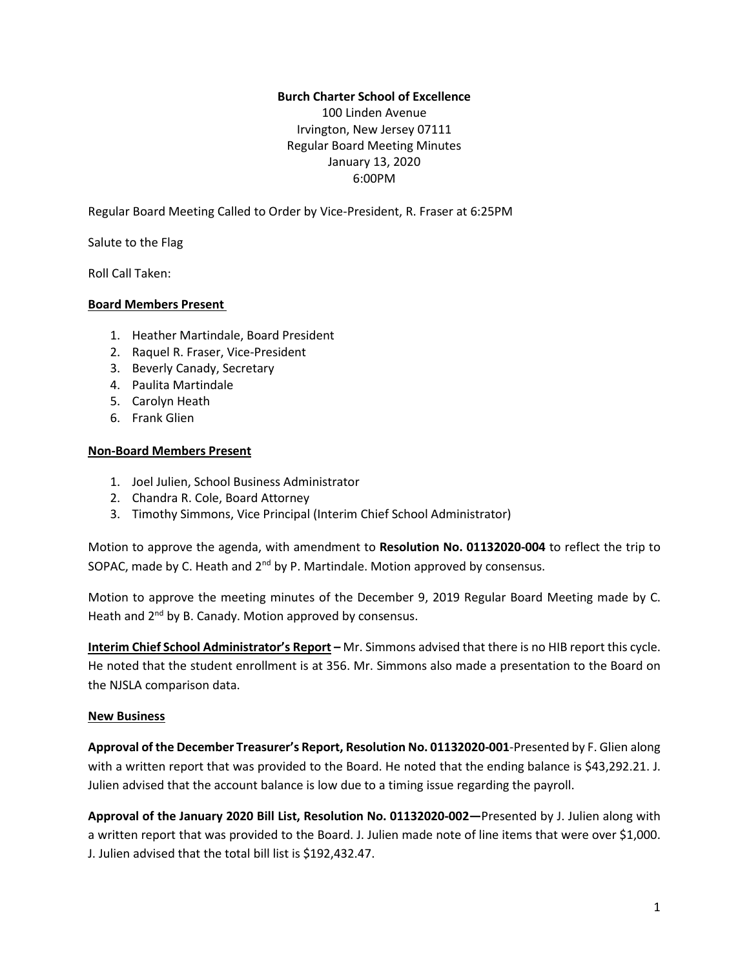## **Burch Charter School of Excellence**

100 Linden Avenue Irvington, New Jersey 07111 Regular Board Meeting Minutes January 13, 2020 6:00PM

Regular Board Meeting Called to Order by Vice-President, R. Fraser at 6:25PM

Salute to the Flag

Roll Call Taken:

## **Board Members Present**

- 1. Heather Martindale, Board President
- 2. Raquel R. Fraser, Vice-President
- 3. Beverly Canady, Secretary
- 4. Paulita Martindale
- 5. Carolyn Heath
- 6. Frank Glien

#### **Non-Board Members Present**

- 1. Joel Julien, School Business Administrator
- 2. Chandra R. Cole, Board Attorney
- 3. Timothy Simmons, Vice Principal (Interim Chief School Administrator)

Motion to approve the agenda, with amendment to **Resolution No. 01132020-004** to reflect the trip to SOPAC, made by C. Heath and  $2^{nd}$  by P. Martindale. Motion approved by consensus.

Motion to approve the meeting minutes of the December 9, 2019 Regular Board Meeting made by C. Heath and 2<sup>nd</sup> by B. Canady. Motion approved by consensus.

**Interim Chief School Administrator's Report –** Mr. Simmons advised that there is no HIB report this cycle. He noted that the student enrollment is at 356. Mr. Simmons also made a presentation to the Board on the NJSLA comparison data.

#### **New Business**

**Approval of the December Treasurer's Report, Resolution No. 01132020-001**-Presented by F. Glien along with a written report that was provided to the Board. He noted that the ending balance is \$43,292.21. J. Julien advised that the account balance is low due to a timing issue regarding the payroll.

**Approval of the January 2020 Bill List, Resolution No. 01132020-002—**Presented by J. Julien along with a written report that was provided to the Board. J. Julien made note of line items that were over \$1,000. J. Julien advised that the total bill list is \$192,432.47.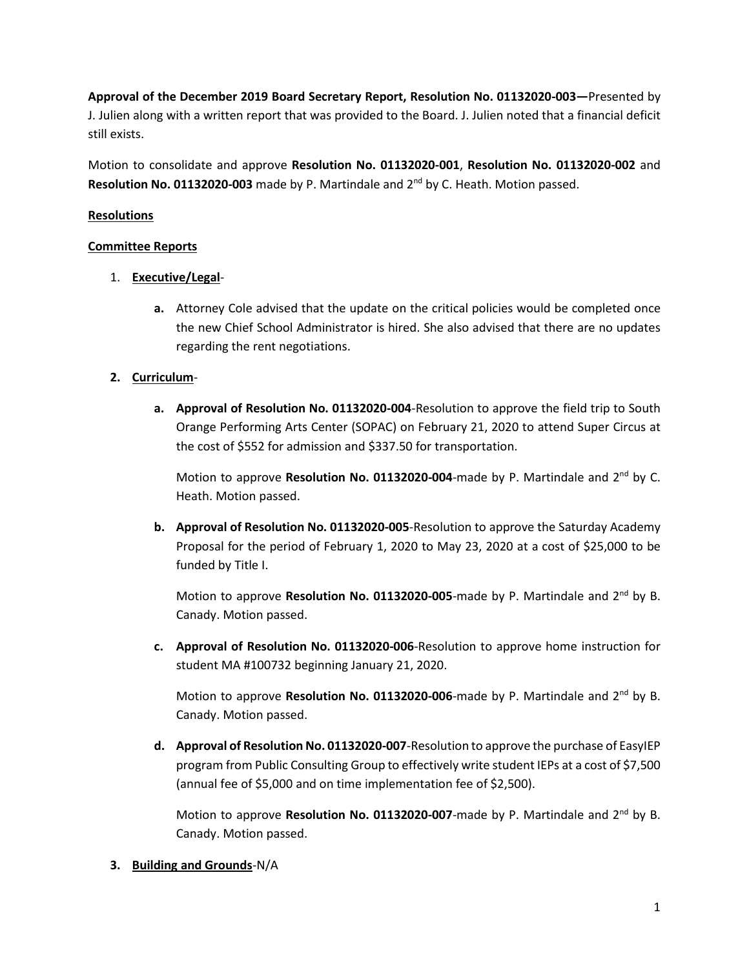**Approval of the December 2019 Board Secretary Report, Resolution No. 01132020-003—**Presented by J. Julien along with a written report that was provided to the Board. J. Julien noted that a financial deficit still exists.

Motion to consolidate and approve **Resolution No. 01132020-001**, **Resolution No. 01132020-002** and Resolution No. 01132020-003 made by P. Martindale and 2<sup>nd</sup> by C. Heath. Motion passed.

## **Resolutions**

## **Committee Reports**

- 1. **Executive/Legal**
	- **a.** Attorney Cole advised that the update on the critical policies would be completed once the new Chief School Administrator is hired. She also advised that there are no updates regarding the rent negotiations.

## **2. Curriculum**-

**a. Approval of Resolution No. 01132020-004**-Resolution to approve the field trip to South Orange Performing Arts Center (SOPAC) on February 21, 2020 to attend Super Circus at the cost of \$552 for admission and \$337.50 for transportation.

Motion to approve Resolution No. 01132020-004-made by P. Martindale and 2<sup>nd</sup> by C. Heath. Motion passed.

**b. Approval of Resolution No. 01132020-005**-Resolution to approve the Saturday Academy Proposal for the period of February 1, 2020 to May 23, 2020 at a cost of \$25,000 to be funded by Title I.

Motion to approve Resolution No. 01132020-005-made by P. Martindale and 2<sup>nd</sup> by B. Canady. Motion passed.

**c. Approval of Resolution No. 01132020-006**-Resolution to approve home instruction for student MA #100732 beginning January 21, 2020.

Motion to approve Resolution No. 01132020-006-made by P. Martindale and 2<sup>nd</sup> by B. Canady. Motion passed.

**d.** Approval of Resolution No. 01132020-007-Resolution to approve the purchase of EasyIEP program from Public Consulting Group to effectively write student IEPs at a cost of \$7,500 (annual fee of \$5,000 and on time implementation fee of \$2,500).

Motion to approve Resolution No. 01132020-007-made by P. Martindale and 2<sup>nd</sup> by B. Canady. Motion passed.

**3. Building and Grounds**-N/A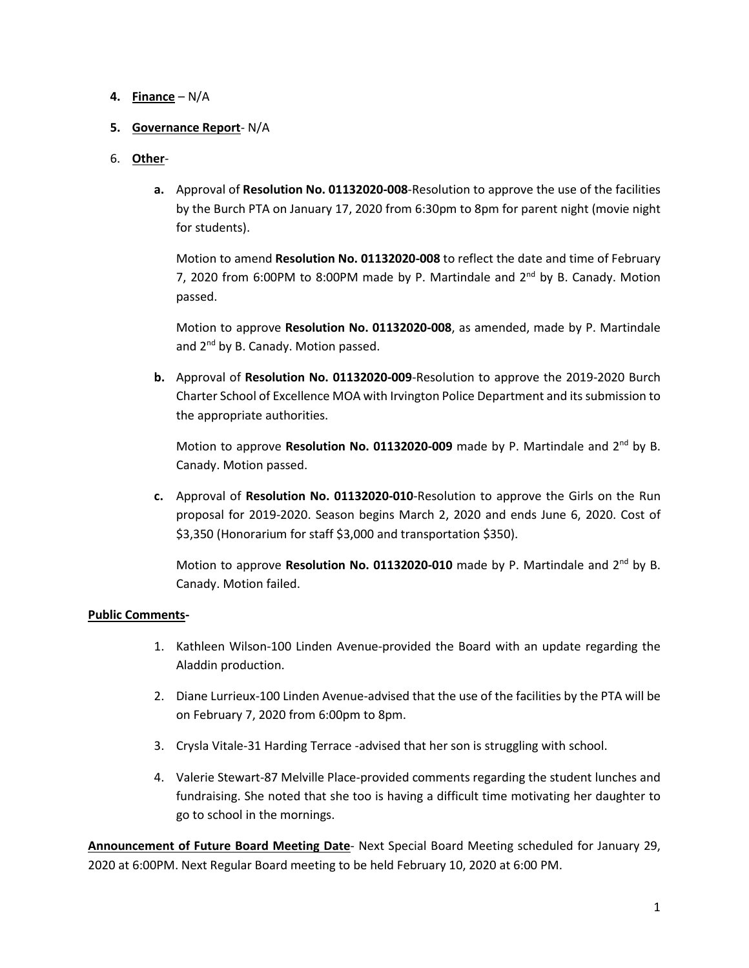## **4. Finance** – N/A

## **5. Governance Report**- N/A

# 6. **Other**-

**a.** Approval of **Resolution No. 01132020-008**-Resolution to approve the use of the facilities by the Burch PTA on January 17, 2020 from 6:30pm to 8pm for parent night (movie night for students).

Motion to amend **Resolution No. 01132020-008** to reflect the date and time of February 7, 2020 from 6:00PM to 8:00PM made by P. Martindale and 2<sup>nd</sup> by B. Canady. Motion passed.

Motion to approve **Resolution No. 01132020-008**, as amended, made by P. Martindale and 2<sup>nd</sup> by B. Canady. Motion passed.

**b.** Approval of **Resolution No. 01132020-009**-Resolution to approve the 2019-2020 Burch Charter School of Excellence MOA with Irvington Police Department and its submission to the appropriate authorities.

Motion to approve Resolution No. 01132020-009 made by P. Martindale and 2<sup>nd</sup> by B. Canady. Motion passed.

**c.** Approval of **Resolution No. 01132020-010**-Resolution to approve the Girls on the Run proposal for 2019-2020. Season begins March 2, 2020 and ends June 6, 2020. Cost of \$3,350 (Honorarium for staff \$3,000 and transportation \$350).

Motion to approve Resolution No. 01132020-010 made by P. Martindale and 2<sup>nd</sup> by B. Canady. Motion failed.

## **Public Comments-**

- 1. Kathleen Wilson-100 Linden Avenue-provided the Board with an update regarding the Aladdin production.
- 2. Diane Lurrieux-100 Linden Avenue-advised that the use of the facilities by the PTA will be on February 7, 2020 from 6:00pm to 8pm.
- 3. Crysla Vitale-31 Harding Terrace -advised that her son is struggling with school.
- 4. Valerie Stewart-87 Melville Place-provided comments regarding the student lunches and fundraising. She noted that she too is having a difficult time motivating her daughter to go to school in the mornings.

**Announcement of Future Board Meeting Date**- Next Special Board Meeting scheduled for January 29, 2020 at 6:00PM. Next Regular Board meeting to be held February 10, 2020 at 6:00 PM.